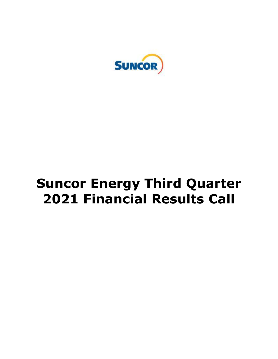

# **Suncor Energy Third Quarter 2021 Financial Results Call**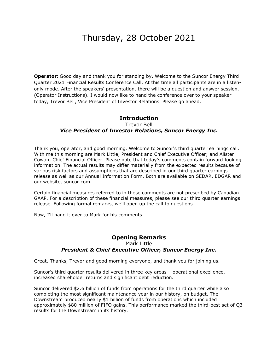**Operator:** Good day and thank you for standing by. Welcome to the Suncor Energy Third Quarter 2021 Financial Results Conference Call. At this time all participants are in a listen- only mode. After the speakers' presentation, there will be a question and answer session. (Operator Instructions). I would now like to hand the conference over to your speaker today, Trevor Bell, Vice President of Investor Relations. Please go ahead.

## Trevor Bell  *Vice President of Investor Relations, Suncor Energy Inc.*  **Introduction**

 Thank you, operator, and good morning. Welcome to Suncor's third quarter earnings call. With me this morning are Mark Little, President and Chief Executive Officer; and Alister Cowan, Chief Financial Officer. Please note that today's comments contain forward-looking information. The actual results may differ materially from the expected results because of various risk factors and assumptions that are described in our third quarter earnings release as well as our Annual Information Form. Both are available on SEDAR, EDGAR and our website, [suncor.com.](https://suncor.com)

 Certain financial measures referred to in these comments are not prescribed by Canadian GAAP. For a description of these financial measures, please see our third quarter earnings release. Following formal remarks, we'll open up the call to questions.

Now, I'll hand it over to Mark for his comments.

## **Opening Remarks**  Mark Little  *President & Chief Executive Officer, Suncor Energy Inc.*

Great. Thanks, Trevor and good morning everyone, and thank you for joining us.

 Suncor's third quarter results delivered in three key areas – operational excellence, increased shareholder returns and significant debt reduction.

 Suncor delivered \$2.6 billion of funds from operations for the third quarter while also completing the most significant maintenance year in our history, on budget. The Downstream produced nearly \$1 billion of funds from operations which included approximately \$80 million of FIFO gains. This performance marked the third-best set of Q3 results for the Downstream in its history.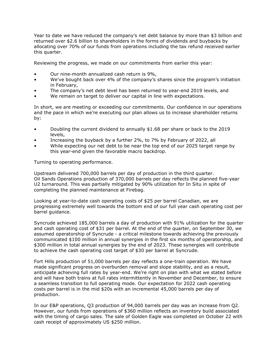Year to date we have reduced the company's net debt balance by more than \$3 billion and returned over \$2.6 billion to shareholders in the forms of dividends and buybacks by allocating over 70% of our funds from operations including the tax refund received earlier this quarter.

Reviewing the progress, we made on our commitments from earlier this year:

- Our nine-month annualized cash return is 9%,
- • We've bought back over 4% of the company's shares since the program's initiation in February,
- The company's net debt level has been returned to year-end 2019 levels, and
- We remain on target to deliver our capital in line with expectations.

 In short, we are meeting or exceeding our commitments. Our confidence in our operations and the pace in which we're executing our plan allows us to increase shareholder returns by:

- • Doubling the current dividend to annually \$1.68 per share or back to the 2019 levels,
- Increasing the buyback by a further 2%, to 7% by February of 2022, all
- • While expecting our net debt to be near the top end of our 2025 target range by this year-end given the favorable macro backdrop.

Turning to operating performance.

 Upstream delivered 700,000 barrels per day of production in the third quarter. Oil Sands Operations production of 370,000 barrels per day reflects the planned five-year U2 turnaround. This was partially mitigated by 90% utilization for In Situ in spite of completing the planned maintenance at Firebag.

 Looking at year-to-date cash operating costs of \$25 per barrel Canadian, we are progressing extremely well towards the bottom end of our full year cash operating cost per barrel guidance.

 Syncrude achieved 185,000 barrels a day of production with 91% utilization for the quarter and cash operating cost of \$31 per barrel. At the end of the quarter, on September 30, we assumed operatorship of Syncrude - a critical milestone towards achieving the previously communicated \$100 million in annual synergies in the first six months of operatorship, and \$300 million in total annual synergies by the end of 2023. These synergies will contribute to achieve the cash operating cost target of \$30 per barrel at Syncrude.

 Fort Hills production of 51,000 barrels per day reflects a one-train operation. We have made significant progress on overburden removal and slope stability, and as a result, anticipate achieving full rates by year-end. We're right on plan with what we stated before and will have both trains at full rates intermittently in November and December, to ensure a seamless transition to full operating mode. Our expectation for 2022 cash operating costs per barrel is in the mid \$20s with an incremental 45,000 barrels per day of production.

 In our E&P operations, Q3 production of 94,000 barrels per day was an increase from Q2. However, our funds from operations of \$360 million reflects an inventory build associated with the timing of cargo sales. The sale of Golden Eagle was completed on October 22 with cash receipt of approximately US \$250 million.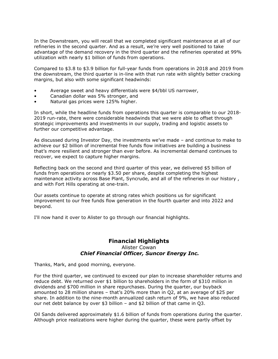In the Downstream, you will recall that we completed significant maintenance at all of our refineries in the second quarter. And as a result, we're very well positioned to take advantage of the demand recovery in the third quarter and the refineries operated at 99% utilization with nearly \$1 billion of funds from operations.

 Compared to \$3.8 to \$3.9 billion for full-year funds from operations in 2018 and 2019 from the downstream, the third quarter is in-line with that run rate with slightly better cracking margins, but also with some significant headwinds:

- Average sweet and heavy differentials were \$4/bbl US narrower,
- Canadian dollar was 5% stronger, and
- Natural gas prices were 125% higher.

 In short, while the headline funds from operations this quarter is comparable to our 2018- 2019 run-rate, there were considerable headwinds that we were able to offset through strategic improvements and investments in our supply, trading and logistic assets to further our competitive advantage.

 As discussed during Investor Day, the investments we've made – and continue to make to achieve our \$2 billion of incremental free funds flow initiatives are building a business that's more resilient and stronger than ever before. As incremental demand continues to recover, we expect to capture higher margins.

 Reflecting back on the second and third quarter of this year, we delivered \$5 billion of funds from operations or nearly \$3.50 per share, despite completing the highest maintenance activity across Base Plant, Syncrude, and all of the refineries in our history , and with Fort Hills operating at one-train.

 Our assets continue to operate at strong rates which positions us for significant improvement to our free funds flow generation in the fourth quarter and into 2022 and beyond.

I'll now hand it over to Alister to go through our financial highlights.

## Alister Cowan  *Chief Financial Officer, Suncor Energy Inc.*  **Financial Highlights**

Thanks, Mark, and good morning, everyone.

 For the third quarter, we continued to exceed our plan to increase shareholder returns and reduce debt. We returned over \$1 billion to shareholders in the form of \$310 million in dividends and \$700 million in share repurchases. During the quarter, our buyback amounted to 28 million shares – that's 20% more than in Q2, at an average of \$25 per share. In addition to the nine-month annualized cash return of 9%, we have also reduced our net debt balance by over \$3 billion – and \$2 billion of that came in Q3.

 Oil Sands delivered approximately \$1.6 billion of funds from operations during the quarter. Although price realizations were higher during the quarter, these were partly offset by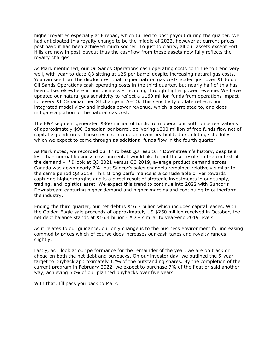higher royalties especially at Firebag, which turned to post payout during the quarter. We had anticipated this royalty change to be the middle of 2022, however at current prices post payout has been achieved much sooner. To just to clarify, all our assets except Fort Hills are now in post-payout thus the cashflow from these assets now fully reflects the royalty charges.

 As Mark mentioned, our Oil Sands Operations cash operating costs continue to trend very well, with year-to-date Q3 sitting at \$25 per barrel despite increasing natural gas costs. You can see from the disclosures, that higher natural gas costs added just over \$1 to our Oil Sands Operations cash operating costs in the third quarter, but nearly half of this has been offset elsewhere in our business – including through higher power revenue. We have updated our natural gas sensitivity to reflect a \$160 million funds from operations impact for every \$1 Canadian per GJ change in AECO. This sensitivity update reflects our integrated model view and includes power revenue, which is correlated to, and does mitigate a portion of the natural gas cost.

 The E&P segment generated \$360 million of funds from operations with price realizations of approximately \$90 Canadian per barrel, delivering \$300 million of free funds flow net of capital expenditures. These results include an inventory build, due to lifting schedules which we expect to come through as additional funds flow in the fourth quarter.

 As Mark noted, we recorded our third best Q3 results in Downstream's history, despite a less than normal business environment. I would like to put these results in the context of the demand – if I look at Q3 2021 versus Q3 2019, average product demand across Canada was down nearly 7%, but Suncor's sales channels remained relatively similar to the same period Q3 2019. This strong performance is a considerable driver towards capturing higher margins and is a direct result of strategic investments in our supply, trading, and logistics asset. We expect this trend to continue into 2022 with Suncor's Downstream capturing higher demand and higher margins and continuing to outperform the industry.

 Ending the third quarter, our net debt is \$16.7 billion which includes capital leases. With the Golden Eagle sale proceeds of approximately US \$250 million received in October, the net debt balance stands at \$16.4 billion CAD – similar to year-end 2019 levels.

 As it relates to our guidance, our only change is to the business environment for increasing commodity prices which of course does increases our cash taxes and royalty ranges slightly.

slightly.<br>Lastly, as I look at our performance for the remainder of the year, we are on track or ahead on both the net debt and buybacks. On our investor day, we outlined the 5-year target to buyback approximately 12% of the outstanding shares. By the completion of the current program in February 2022, we expect to purchase 7% of the float or said another way, achieving 60% of our planned buybacks over five years.

With that, I'll pass you back to Mark.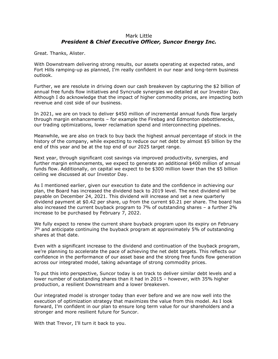#### Mark Little  *President & Chief Executive Officer, Suncor Energy Inc.*

Great. Thanks, Alister.

 With Downstream delivering strong results, our assets operating at expected rates, and Fort Hills ramping-up as planned, I'm really confident in our near and long-term business outlook.

outlook.<br>Further, we are resolute in driving down our cash breakeven by capturing the \$2 billion of annual free funds flow initiatives and Syncrude synergies we detailed at our Investor Day. Although I do acknowledge that the impact of higher commodity prices, are impacting both revenue and cost side of our business.

 In 2021, we are on track to deliver \$450 million of incremental annual funds flow largely through margin enhancements – for example the Firebag and Edmonton debottlenecks, our trading optimizations, lower reclamation spend and interconnecting pipelines.

 Meanwhile, we are also on track to buy back the highest annual percentage of stock in the history of the company, while expecting to reduce our net debt by almost \$5 billion by the end of this year and be at the top end of our 2025 target range.

 Next year, through significant cost savings via improved productivity, synergies, and further margin enhancements, we expect to generate an additional \$400 million of annual funds flow. Additionally, on capital we expect to be \$300 million lower than the \$5 billion ceiling we discussed at our Investor Day.

 As I mentioned earlier, given our execution to date and the confidence in achieving our plan, the Board has increased the dividend back to 2019 level. The next dividend will be payable on December 24, 2021. This dividend will increase and set a new quarterly dividend payment at \$0.42 per share, up from the current \$0.21 per share. The board has also increased the current buyback program to 7% of outstanding shares – a further 2% increase to be purchased by February 7, 2022.

 We fully expect to renew the current share buyback program upon its expiry on February  $7<sup>th</sup>$  and anticipate continuing the buyback program at approximately 5% of outstanding shares at that date.

 Even with a significant increase to the dividend and continuation of the buyback program, we're planning to accelerate the pace of achieving the net debt targets. This reflects our confidence in the performance of our asset base and the strong free funds flow generation across our integrated model, taking advantage of strong commodity prices.

 To put this into perspective, Suncor today is on track to deliver similar debt levels and a lower number of outstanding shares than it had in 2015 – however, with 35% higher production, a resilient Downstream and a lower breakeven.

 Our integrated model is stronger today than ever before and we are now well into the execution of optimization strategy that maximizes the value from this model. As I look forward, I'm confident in our plan to ensure long term value for our shareholders and a stronger and more resilient future for Suncor.

With that Trevor, I'll turn it back to you.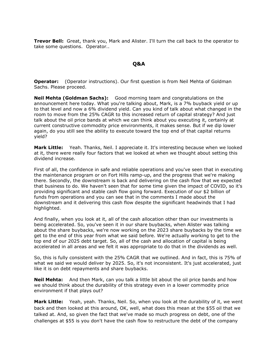**Trevor Bell:** Great, thank you, Mark and Alister. I'll turn the call back to the operator to take some questions. Operator..

#### **Q&A**

**Q&A**<br>**Operator:** (Operator instructions). Our first question is from Neil Mehta of Goldman Sachs. Please proceed.

 **Neil Mehta (Goldman Sachs):** Good morning team and congratulations on the announcement here today. What you're talking about, Mark, is a 7% buyback yield or up to that level and now a 6% dividend yield. Can you kind of talk about what changed in the room to move from the 25% CAGR to this increased return of capital strategy? And just talk about the oil price bands at which we can think about you executing it, certainly at current constructive commodity price environments, it makes sense. But if we dip lower again, do you still see the ability to execute toward the top end of that capital returns yield?

 **Mark Little:** Yeah. Thanks, Neil. I appreciate it. It's interesting because when we looked at it, there were really four factors that we looked at when we thought about setting this dividend increase.

 First of all, the confidence in safe and reliable operations and you've seen that in executing the maintenance program or on Fort Hills ramp-up, and the progress that we're making there. Secondly, the downstream is back and delivering on the cash flow that we expected that business to do. We haven't seen that for some time given the impact of COVID, so it's providing significant and stable cash flow going forward. Execution of our \$2 billion of funds from operations and you can see that in the comments I made about the downstream and it delivering this cash flow despite the significant headwinds that I had highlighted.

 And finally, when you look at it, all of the cash allocation other than our investments is being accelerated. So, you've seen it in our share buybacks, when Alister was talking about the share buybacks, we're now working on the 2023 share buybacks by the time we get to the end of this year from what we said before. We're actually working to get to the top end of our 2025 debt target. So, all of the cash and allocation of capital is being accelerated in all areas and we felt it was appropriate to do that in the dividends as well.

 So, this is fully consistent with the 25% CAGR that we outlined. And in fact, this is 75% of what we said we would deliver by 2025. So, it's not inconsistent. It's just accelerated, just like it is on debt repayments and share buybacks.

Neil Mehta: we should think about the durability of this strategy even in a lower commodity price environment if that plays out? **Neil Mehta:** And then Mark, can you talk a little bit about the oil price bands and how

**Mark Little:** Yeah, yeah. Thanks, Neil. So, when you look at the durability of it, we went back and then looked at this around, OK, well, what does this mean at the \$55 oil that we talked at. And, so given the fact that we've made so much progress on debt, one of the challenges at \$55 is you don't have the cash flow to restructure the debt of the company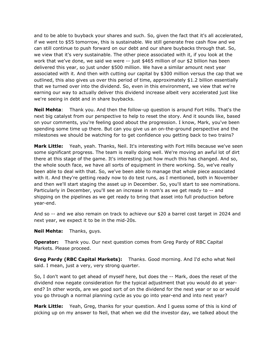and to be able to buyback your shares and such. So, given the fact that it's all accelerated, if we went to \$55 tomorrow, this is sustainable. We still generate free cash flow and we can still continue to push forward on our debt and our share buybacks through that. So, we view that it's very sustainable. The other piece associated with it, if you look at the work that we've done, we said we were -- just \$465 million of our \$2 billion has been delivered this year, so just under \$500 million. We have a similar amount next year associated with it. And then with cutting our capital by \$300 million versus the cap that we outlined, this also gives us over this period of time, approximately \$1.2 billion essentially that we turned over into the dividend. So, even in this environment, we view that we're earning our way to actually deliver this dividend increase albeit very accelerated just like we're seeing in debt and in share buybacks.

**Neil Mehta:**  next big catalyst from our perspective to help to reset the story. And it sounds like, based on your comments, you're feeling good about the progression. I know, Mark, you've been spending some time up there. But can you give us an on-the-ground perspective and the milestones we should be watching for to get confidence you getting back to two trains? Thank you. And then the follow-up question is around Fort Hills. That's the

 **Mark Little:** Yeah, yeah. Thanks, Neil. It's interesting with Fort Hills because we've seen some significant progress. The team is really doing well. We're moving an awful lot of dirt there at this stage of the game. It's interesting just how much this has changed. And so, the whole south face, we have all sorts of equipment in there working. So, we've really been able to deal with that. So, we've been able to manage that whole piece associated with it. And they're getting ready now to do test runs, as I mentioned, both in November and then we'll start staging the asset up in December. So, you'll start to see nominations. Particularly in December, you'll see an increase in nom's as we get ready to -- and shipping on the pipelines as we get ready to bring that asset into full production before year-end.

 And so -- and we also remain on track to achieve our \$20 a barrel cost target in 2024 and next year, we expect it to be in the mid-20s.

**Neil Mehta: Neil Mehta:** Thanks, guys.

 **Operator:** Thank you. Our next question comes from Greg Pardy of RBC Capital Markets. Please proceed.

 **Greg Pardy (RBC Capital Markets):** Thanks. Good morning. And I'd echo what Neil said. I mean, just a very, very strong quarter.

 So, I don't want to get ahead of myself here, but does the -- Mark, does the reset of the dividend now negate consideration for the typical adjustment that you would do at year- end? In other words, are we good sort of on the dividend for the next year or so or would you go through a normal planning cycle as you go into year-end and into next year?

 **Mark Little:** Yeah, Greg, thanks for your question. And I guess some of this is kind of picking up on my answer to Neil, that when we did the investor day, we talked about the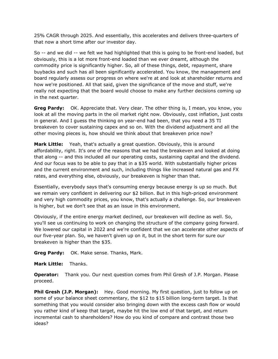25% CAGR through 2025. And essentially, this accelerates and delivers three-quarters of that now a short time after our investor day.

 So -- and we did -- we felt we had highlighted that this is going to be front-end loaded, but obviously, this is a lot more front-end loaded than we ever dreamt, although the commodity price is significantly higher. So, all of these things, debt, repayment, share buybacks and such has all been significantly accelerated. You know, the management and board regularly assess our progress on where we're at and look at shareholder returns and how we're positioned. All that said, given the significance of the move and stuff, we're really not expecting that the board would choose to make any further decisions coming up in the next quarter.

 **Greg Pardy:** OK. Appreciate that. Very clear. The other thing is, I mean, you know, you look at all the moving parts in the oil market right now. Obviously, cost inflation, just costs in general. And I guess the thinking on year-end had been, that you need a 35 TI breakeven to cover sustaining capex and so on. With the dividend adjustment and all the other moving pieces is, how should we think about that breakeven price now?

**Mark Little:** Yeah, that's actually a great question. Obviously, this is around affordability, right. It's one of the reasons that we had the breakeven and looked at doing that along -- and this included all our operating costs, sustaining capital and the dividend. And our focus was to be able to pay that in a \$35 world. With substantially higher prices and the current environment and such, including things like increased natural gas and FX rates, and everything else, obviously, our breakeven is higher than that.

 Essentially, everybody says that's consuming energy because energy is up so much. But we remain very confident in delivering our \$2 billion. But in this high-priced environment and very high commodity prices, you know, that's actually a challenge. So, our breakeven is higher, but we don't see that as an issue in this environment.

 Obviously, if the entire energy market declined, our breakeven will decline as well. So, you'll see us continuing to work on changing the structure of the company going forward. We lowered our capital in 2022 and we're confident that we can accelerate other aspects of our five-year plan. So, we haven't given up on it, but in the short term for sure our breakeven is higher than the \$35.

**Greg Pardy:** OK. Make sense. Thanks, Mark.

**Mark Little:** Thanks.

 **Operator:** Thank you. Our next question comes from Phil Gresh of J.P. Morgan. Please proceed.

**Phil Gresh (J.P. Morgan):** Hey. Good morning. My first question, just to follow up on some of your balance sheet commentary, the \$12 to \$15 billion long-term target. Is that something that you would consider also bringing down with the excess cash flow or would you rather kind of keep that target, maybe hit the low end of that target, and return incremental cash to shareholders? How do you kind of compare and contrast those two ideas?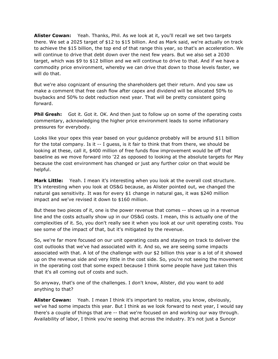**Alister Cowan:** Yeah. Thanks, Phil. As we look at it, you'll recall we set two targets there. We set a 2025 target of \$12 to \$15 billion. And as Mark said, we're actually on track to achieve the \$15 billion, the top end of that range this year, so that's an acceleration. We will continue to drive that debt down over the next few years. But we also set a 2030 target, which was \$9 to \$12 billion and we will continue to drive to that. And if we have a commodity price environment, whereby we can drive that down to those levels faster, we will do that.

 But we're also cognizant of ensuring the shareholders get their return. And you saw us make a comment that free cash flow after capex and dividend will be allocated 50% to buybacks and 50% to debt reduction next year. That will be pretty consistent going forward.

**Phil Gresh:** Got it. Got it. OK. And then just to follow up on some of the operating costs commentary, acknowledging the higher price environment leads to some inflationary pressures for everybody.

 Looks like your opex this year based on your guidance probably will be around \$11 billion for the total company. Is it -- I guess, is it fair to think that from there, we should be looking at these, call it, \$400 million of free funds flow improvement would be off that baseline as we move forward into '22 as opposed to looking at the absolute targets for May because the cost environment has changed or just any further color on that would be helpful.

 **Mark Little:** Yeah. I mean it's interesting when you look at the overall cost structure. It's interesting when you look at OS&G because, as Alister pointed out, we changed the natural gas sensitivity. It was for every \$1 change in natural gas, it was \$240 million impact and we've revised it down to \$160 million.

 But these two pieces of it, one is the power revenue that comes -- shows up in a revenue line and the costs actually show up in our OS&G costs. I mean, this is actually one of the complexities of it. So, you don't really see it when you look at our unit operating costs. You see some of the impact of that, but it's mitigated by the revenue.

 So, we're far more focused on our unit operating costs and staying on track to deliver the cost outlooks that we've had associated with it. And so, we are seeing some impacts associated with that. A lot of the challenge with our \$2 billion this year is a lot of it showed up on the revenue side and very little in the cost side. So, you're not seeing the movement in the operating cost that some expect because I think some people have just taken this that it's all coming out of costs and such.

 So anyway, that's one of the challenges. I don't know, Alister, did you want to add anything to that?

 **Alister Cowan:** Yeah. I mean I think it's important to realize, you know, obviously, we've had some impacts this year. But I think as we look forward to next year, I would say there's a couple of things that are -- that we're focused on and working our way through. Availability of labor, I think you're seeing that across the industry. It's not just a Suncor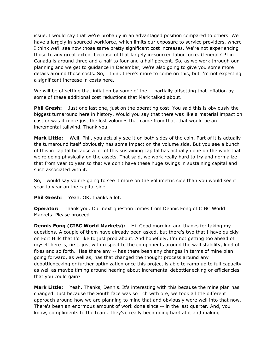issue. I would say that we're probably in an advantaged position compared to others. We have a largely in-sourced workforce, which limits our exposure to service providers, where I think we'll see now those same pretty significant cost increases. We're not experiencing those to any great extent because of that largely in-sourced labor force. General CPI in Canada is around three and a half to four and a half percent. So, as we work through our planning and we get to guidance in December, we're also going to give you some more details around those costs. So, I think there's more to come on this, but I'm not expecting a significant increase in costs here.

 We will be offsetting that inflation by some of the -- partially offsetting that inflation by some of these additional cost reductions that Mark talked about.

**Phil Gresh:** Just one last one, just on the operating cost. You said this is obviously the biggest turnaround here in history. Would you say that there was like a material impact on cost or was it more just the lost volumes that came from that, that would be an incremental tailwind. Thank you.

 **Mark Little:** Well, Phil, you actually see it on both sides of the coin. Part of it is actually the turnaround itself obviously has some impact on the volume side. But you see a bunch of this in capital because a lot of this sustaining capital has actually done on the work that we're doing physically on the assets. That said, we work really hard to try and normalize that from year to year so that we don't have these huge swings in sustaining capital and such associated with it.

 So, I would say you're going to see it more on the volumetric side than you would see it year to year on the capital side.

**Phil Gresh:** Yeah. OK, thanks a lot.

**Operator:** Thank you. Our next question comes from Dennis Fong of CIBC World Markets. Please proceed.

**Dennis Fong (CIBC World Markets):** Hi. Good morning and thanks for taking my questions. A couple of them have already been asked, but there's two that I have quickly on Fort Hills that I'd like to just prod about. And hopefully, I'm not getting too ahead of myself here is, first, just with respect to the components around the wall stability, kind of fixes and so forth. Has there any -- has there been any changes in terms of mine plan going forward, as well as, has that changed the thought process around any debottlenecking or further optimization once this project is able to ramp up to full capacity as well as maybe timing around hearing about incremental debottlenecking or efficiencies that you could gain?

 **Mark Little:** Yeah. Thanks, Dennis. It's interesting with this because the mine plan has changed. Just because the South face was so rich with ore, we took a little different approach around how we are planning to mine that and obviously were well into that now. There's been an enormous amount of work done since -- in the last quarter. And, you know, compliments to the team. They've really been going hard at it and making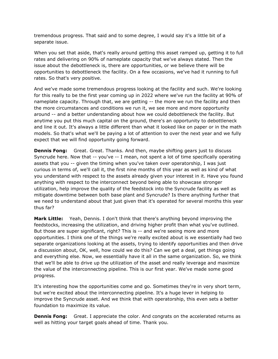tremendous progress. That said and to some degree, I would say it's a little bit of a separate issue.

 When you set that aside, that's really around getting this asset ramped up, getting it to full rates and delivering on 90% of nameplate capacity that we've always stated. Then the issue about the debottleneck is, there are opportunities, or we believe there will be opportunities to debottleneck the facility. On a few occasions, we've had it running to full rates. So that's very positive.

 And we've made some tremendous progress looking at the facility and such. We're looking for this really to be the first year coming up in 2022 where we've run the facility at 90% of nameplate capacity. Through that, we are getting -- the more we run the facility and then the more circumstances and conditions we run it, we see more and more opportunity around -- and a better understanding about how we could debottleneck the facility. But anytime you put this much capital on the ground, there's an opportunity to debottleneck and line it out. It's always a little different than what it looked like on paper or in the math models. So that's what we'll be paying a lot of attention to over the next year and we fully expect that we will find opportunity going forward.

 **Dennis Fong:** Great. Great. Thanks. And then, maybe shifting gears just to discuss Syncrude here. Now that -- you've -- I mean, not spent a lot of time specifically operating assets that you -- given the timing when you've taken over operatorship, I was just curious in terms of, we'll call it, the first nine months of this year as well as kind of what you understand with respect to the assets already given your interest in it. Have you found anything with respect to the interconnect beyond being able to showcase stronger utilization, help improve the quality of the feedstock into the Syncrude facility as well as mitigate downtime between both base plant and Syncrude? Is there anything further that we need to understand about that just given that it's operated for several months this year thus far?

 **Mark Little:** Yeah, Dennis. I don't think that there's anything beyond improving the feedstocks, increasing the utilization, and driving higher profit than what you've outlined. But those are super significant, right? This is -- and we're seeing more and more opportunities. I think one of the things we're really excited about is we essentially had two separate organizations looking at the assets, trying to identify opportunities and then drive a discussion about, OK, well, how could we do this? Can we get a deal, get things going and everything else. Now, we essentially have it all in the same organization. So, we think that we'll be able to drive up the utilization of the asset and really leverage and maximize the value of the interconnecting pipeline. This is our first year. We've made some good progress.

 It's interesting how the opportunities come and go. Sometimes they're in very short term, but we're excited about the interconnecting pipeline. It's a huge lever in helping to improve the Syncrude asset. And we think that with operatorship, this even sets a better foundation to maximize its value.

**Dennis Fong:** Great. I appreciate the color. And congrats on the accelerated returns as well as hitting your target goals ahead of time. Thank you.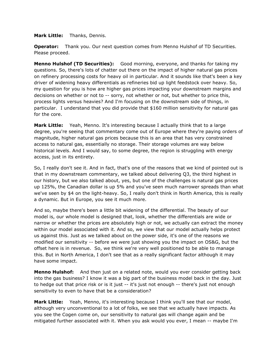**Mark Little:** Thanks, Dennis.

 **Operator:** Thank you. Our next question comes from Menno Hulshof of TD Securities. Please proceed.

 **Menno Hulshof (TD Securities):** Good morning, everyone, and thanks for taking my questions. So, there's lots of chatter out there on the impact of higher natural gas prices on refinery processing costs for heavy oil in particular. And it sounds like that's been a key driver of widening heavy differentials as refineries bid up light feedstock over heavy. So, my question for you is how are higher gas prices impacting your downstream margins and decisions on whether or not to -- sorry, not whether or not, but whether to price this, process lights versus heavies? And I'm focusing on the downstream side of things, in particular. I understand that you did provide that \$160 million sensitivity for natural gas for the core.

**Mark Little:**  degree, you're seeing that commentary come out of Europe where they're paying orders of magnitude, higher natural gas prices because this is an area that has very constrained access to natural gas, essentially no storage. Their storage volumes are way below historical levels. And I would say, to some degree, the region is struggling with energy access, just in its entirety. Yeah, Menno. It's interesting because I actually think that to a large

 So, I really don't see it. And in fact, that's one of the reasons that we kind of pointed out is that in my downstream commentary, we talked about delivering Q3, the third highest in our history, but we also talked about, yes, but one of the challenges is natural gas prices up 125%, the Canadian dollar is up 5% and you've seen much narrower spreads than what we've seen by \$4 on the light-heavy. So, I really don't think in North America, this is really a dynamic. But in Europe, you see it much more.

 And so, maybe there's been a little bit widening of the differential. The beauty of our model is, our whole model is designed that, look, whether the differentials are wide or narrow or whether the prices are absolutely high or not, we actually can extract the money within our model associated with it. And so, we view that our model actually helps protect us against this. Just as we talked about on the power side, it's one of the reasons we modified our sensitivity -- before we were just showing you the impact on OS&G, but the offset here is in revenue. So, we think we're very well positioned to be able to manage this. But in North America, I don't see that as a really significant factor although it may have some impact.

 **Menno Hulshof:** And then just on a related note, would you ever consider getting back into the gas business? I know it was a big part of the business model back in the day. Just to hedge out that price risk or is it just -- it's just not enough -- there's just not enough sensitivity to even to have that be a consideration?

 **Mark Little:** Yeah, Menno, it's interesting because I think you'll see that our model, although very unconventional to a lot of folks, we see that we actually have impacts. As you see the Cogen come on, our sensitivity to natural gas will change again and be mitigated further associated with it. When you ask would you ever, I mean -- maybe I'm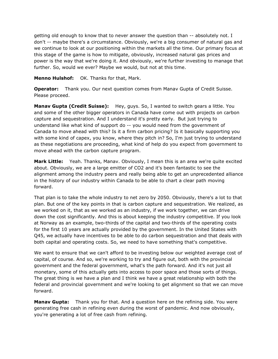getting old enough to know that to never answer the question than -- absolutely not. I don't -- maybe there's a circumstance. Obviously, we're a big consumer of natural gas and we continue to look at our positioning within the markets all the time. Our primary focus at this stage of the game is how to mitigate, obviously, increased natural gas prices and power is the way that we're doing it. And obviously, we're further investing to manage that further. So, would we ever? Maybe we would, but not at this time.

**Menno Hulshof:** OK. Thanks for that, Mark.

 **Operator:** Thank you. Our next question comes from Manav Gupta of Credit Suisse. Please proceed.

**Manav Gupta (Credit Suisse):** Hey, guys. So, I wanted to switch gears a little. You and some of the other bigger operators in Canada have come out with projects on carbon capture and sequestration. And I understand it's pretty early. But just trying to understand like what kind of support do -- you would need from the government of Canada to move ahead with this? Is it a firm carbon pricing? Is it basically supporting you with some kind of capex, you know, where they pitch in? So, I'm just trying to understand as these negotiations are proceeding, what kind of help do you expect from government to move ahead with the carbon capture program.

 **Mark Little:** Yeah. Thanks, Manav. Obviously, I mean this is an area we're quite excited about. Obviously, we are a large emitter of CO2 and it's been fantastic to see the alignment among the industry peers and really being able to get an unprecedented alliance in the history of our industry within Canada to be able to chart a clear path moving forward.

 That plan is to take the whole industry to net zero by 2050. Obviously, there's a lot to that plan. But one of the key points in that is carbon capture and sequestration. We realized, as we worked on it, that as we worked as an industry, if we work together, we can drive down the cost significantly. And this is about keeping the industry competitive. If you look at Norway as an example, two-thirds of the capital and two-thirds of the operating costs for the first 10 years are actually provided by the government. In the United States with Q45, we actually have incentives to be able to do carbon sequestration and that deals with both capital and operating costs. So, we need to have something that's competitive.

 We want to ensure that we can't afford to be investing below our weighted average cost of capital, of course. And so, we're working to try and figure out, both with the provincial government and the federal government, what's the path forward. And it's not just all monetary, some of this actually gets into access to poor space and those sorts of things. The great thing is we have a plan and I think we have a great relationship with both the federal and provincial government and we're looking to get alignment so that we can move forward.

 **Manav Gupta:** Thank you for that. And a question here on the refining side. You were generating free cash in refining even during the worst of pandemic. And now obviously, you're generating a lot of free cash from refining.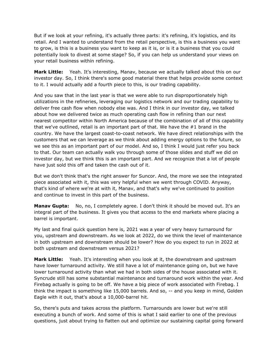But if we look at your refining, it's actually three parts: it's refining, it's logistics, and its retail. And I wanted to understand from the retail perspective, is this a business you want to grow, is this is a business you want to keep as it is, or is it a business that you could potentially look to divest at some stage? So, if you can help us understand your views on your retail business within refining.

 **Mark Little:** Yeah. It's interesting, Manav, because we actually talked about this on our investor day. So, I think there's some good material there that helps provide some context to it. I would actually add a fourth piece to this, is our trading capability.

 And you saw that in the last year is that we were able to run disproportionately high utilizations in the refineries, leveraging our logistics network and our trading capability to deliver free cash flow when nobody else was. And I think in our investor day, we talked about how we delivered twice as much operating cash flow in refining than our next nearest competitor within North America because of the combination of all of this capability that we've outlined, retail is an important part of that. We have the #1 brand in the country. We have the largest coast-to-coast network. We have direct relationships with the customers that we can leverage as we think about adding energy options to the future, so we see this as an important part of our model. And so, I think I would just refer you back to that. Our team can actually walk you through some of those slides and stuff we did on investor day, but we think this is an important part. And we recognize that a lot of people have just sold this off and taken the cash out of it.

 But we don't think that's the right answer for Suncor. And, the more we see the integrated piece associated with it, this was very helpful when we went through COVID. Anyway, that's kind of where we're at with it, Manav, and that's why we've continued to position and continue to invest in this part of the business.

 **Manav Gupta:** No, no, I completely agree. I don't think it should be moved out. It's an integral part of the business. It gives you that access to the end markets where placing a barrel is important.

 My last and final quick question here is, 2021 was a year of very heavy turnaround for you, upstream and downstream. As we look at 2022, do we think the level of maintenance in both upstream and downstream should be lower? How do you expect to run in 2022 at both upstream and downstream versus 2021?

**Mark Little:**  have lower turnaround activity. We still have a lot of maintenance going on, but we have lower turnaround activity than what we had in both sides of the house associated with it. Syncrude still has some substantial maintenance and turnaround work within the year. And Firebag actually is going to be off. We have a big piece of work associated with Firebag. I think the impact is something like 15,000 barrels. And so, -- and you keep in mind, Golden Eagle with it out, that's about a 10,000-barrel hit. Yeah. It's interesting when you look at it, the downstream and upstream

 So, there's puts and takes across the platform. Turnarounds are lower but we're still executing a bunch of work. And some of this is what I said earlier to one of the previous questions, just about trying to flatten out and optimize our sustaining capital going forward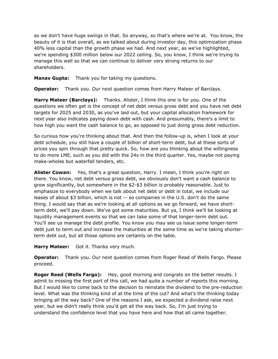so we don't have huge swings in that. So anyway, so that's where we're at. You know, the beauty of it is that overall, as we talked about during investor day, this optimization phase 40% less capital than the growth phase we had. And next year, as we've highlighted, we're spending \$300 million below our 2022 ceiling. So, you know, I think we're trying to manage this well so that we can continue to deliver very strong returns to our shareholders.

**Manav Gupta:** Thank you for taking my questions.

**Operator:** Thank you. Our next question comes from Harry Mateer of Barclays.

 **Harry Mateer (Barclays):** Thanks. Alister, I think this one is for you. One of the questions we often get is the concept of net debt versus gross debt and you have net debt targets for 2025 and 2030, as you've laid out, but your capital allocation framework for next year also indicates paying down debt with cash. And presumably, there's a limit to how high you want the cash balance to go, as opposed to just doing gross debt reduction.

 So curious how you're thinking about that. And then the follow-up is, when I look at your debt schedule, you still have a couple of billion of short-term debt, but at these sorts of prices you spin through that pretty quick. So, how are you thinking about the willingness to do more LME, such as you did with the 24s in the third quarter. Yes, maybe not paying make-wholes but waterfall tenders, etc.

 **Alister Cowan:** Yes, that's a great question, Harry. I mean, I think you're right on there. You know, net debt versus gross debt, we obviously don't want a cash balance to grow significantly, but somewhere in the \$2-\$3 billion is probably reasonable. Just to emphasize to everybody when we talk about net debt or debt in total, we include our leases of about \$3 billion, which is not -- so companies in the U.S. don't do the same thing. I would say that as we're looking at all options as we go forward, we have short- term debt, we'll pay down. We've got some maturities. But ya, I think we'll be looking at liquidity management events so that we can take some of that longer-term debt out. You'll see us manage the debt profile. You know you may see us issue some longer-term debt just to term out and increase the maturities at the same time as we're taking shorter-term debt out, but all those options are certainly on the table.

**Harry Mateer:** Got it. Thanks very much.

**Operator: Operator:** Thank you. Our next question comes from Roger Read of Wells Fargo. Please proceed.

**Roger Reed (Wells Fargo):** Hey, good morning and congrats on the better results. I admit to missing the first part of this call, we had quite a number of reports this morning. But I would like to come back to the decision to reinstate the dividend to the pre-reduction level. What was the thinking kind of at the time of the cut? And what's the thinking today bringing all the way back? One of the reasons I ask, we expected a dividend raise next year, but we didn't really think you'd get all the way back. So, I'm just trying to understand the confidence level that you have here and how that all came together.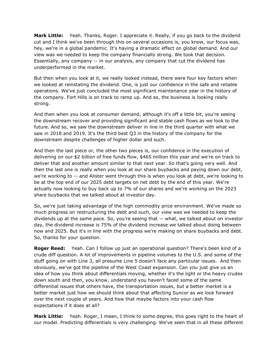**Mark Little:** Yeah. Thanks, Roger. I appreciate it. Really, if you go back to the dividend cut and I think we've been through this on several occasions is, you know, our focus was, hey, we're in a global pandemic. It's having a dramatic effect on global demand. And our view was we needed to keep the company financially strong. We took that decision. Essentially, any company -- in our analysis, any company that cut the dividend has underperformed in the market.

 But then when you look at it, we really looked instead, there were four key factors when we looked at reinstating the dividend. One, is just our confidence in the safe and reliable operations. We've just concluded the most significant maintenance year in the history of the company. Fort Hills is on track to ramp up. And so, the business is looking really

strong.<br>And then when you look at consumer demand, although it's off a little bit, you're seeing the downstream recover and providing significant and stable cash flows as we look to the future. And so, we saw the downstream deliver in line in the third quarter with what we saw in 2018 and 2019. It's the third best Q3 in the history of the company for the downstream despite challenges of higher dollar and such.

 And then the last piece or, the other two pieces is, our confidence in the execution of delivering on our \$2 billion of free funds flow, \$465 million this year and we're on track to deliver that and another amount similar to that next year. So that's going very well. And then the last one is really when you look at our share buybacks and paying down our debt, we're working to -- and Alister went through this is when you look at debt, we're looking to be at the top end of our 2025 debt targets on net debt by the end of this year. We're actually now looking to buy back up to 7% of our shares and we're working on the 2023 share buybacks that we talked about at investor day.

 So, we're just taking advantage of the high commodity price environment. We've made so much progress on restructuring the debt and such, our view was we needed to keep the dividends up at the same pace. So, you're seeing that -- what, we talked about on investor day, the dividend increase is 75% of the dividend increase we talked about doing between now and 2025. But it's in line with the progress we're making on share buybacks and debt. So, thanks for your question.

 **Roger Reed:** Yeah. Can I follow up just an operational question? There's been kind of a crude diff question. A lot of improvements in pipeline volumes to the U.S. and some of the stuff going on with Line 3, all presume Line 5 doesn't face any particular issues. And then obviously, we've got the pipeline of the West Coast expansion. Can you just give us an idea of how you think about differentials moving, whether it's the light or the heavy crudes down south and then, you know, understand you haven't faced some of the same differential issues that others have, the transportation issues, but a better market is a better market just how we should think about that affecting Suncor as we look forward over the next couple of years. And how that maybe factors into your cash flow expectations if it does at all?

**Mark Little:**  our model. Predicting differentials is very challenging. We've seen that in all these different Yeah. Roger, I mean, I think to some degree, this goes right to the heart of